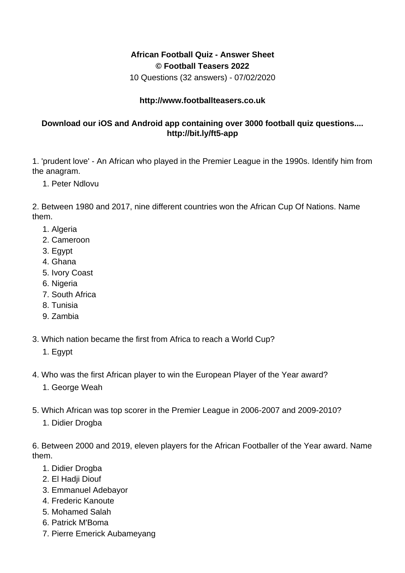## **African Football Quiz - Answer Sheet © Football Teasers 2022**

10 Questions (32 answers) - 07/02/2020

## **http://www.footballteasers.co.uk**

## **Download our iOS and Android app containing over 3000 football quiz questions.... http://bit.ly/ft5-app**

1. 'prudent love' - An African who played in the Premier League in the 1990s. Identify him from the anagram.

1. Peter Ndlovu

2. Between 1980 and 2017, nine different countries won the African Cup Of Nations. Name them.

- 1. Algeria
- 2. Cameroon
- 3. Egypt
- 4. Ghana
- 5. Ivory Coast
- 6. Nigeria
- 7. South Africa
- 8. Tunisia
- 9. Zambia
- 3. Which nation became the first from Africa to reach a World Cup?
	- 1. Egypt
- 4. Who was the first African player to win the European Player of the Year award?
	- 1. George Weah
- 5. Which African was top scorer in the Premier League in 2006-2007 and 2009-2010?
	- 1. Didier Drogba

6. Between 2000 and 2019, eleven players for the African Footballer of the Year award. Name them.

- 1. Didier Drogba
- 2. El Hadji Diouf
- 3. Emmanuel Adebayor
- 4. Frederic Kanoute
- 5. Mohamed Salah
- 6. Patrick M'Boma
- 7. Pierre Emerick Aubameyang